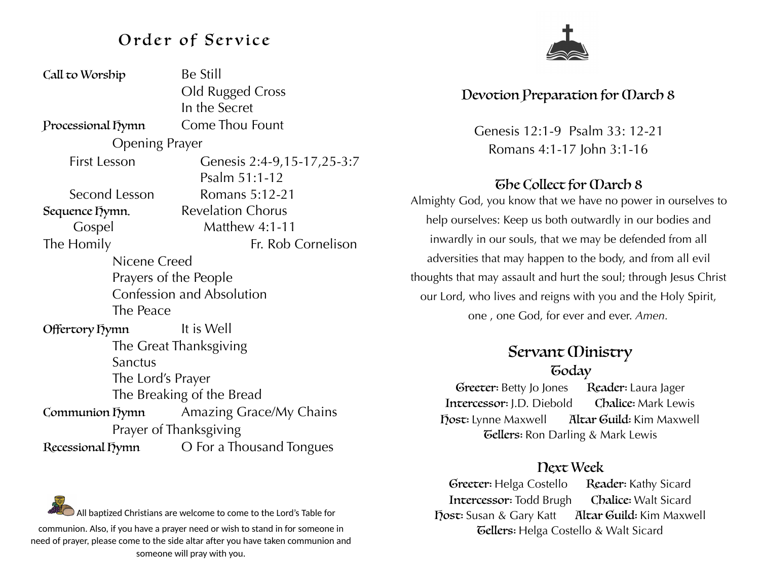# Order of Service

| Call to Worship        | <b>Be Still</b>                  |  |
|------------------------|----------------------------------|--|
|                        | Old Rugged Cross                 |  |
|                        | In the Secret                    |  |
| Processional Dymn      | <b>Come Thou Fount</b>           |  |
| <b>Opening Prayer</b>  |                                  |  |
| <b>First Lesson</b>    | Genesis 2:4-9,15-17,25-3:7       |  |
|                        | Psalm 51:1-12                    |  |
| Second Lesson          | Romans 5:12-21                   |  |
| Sequence Lymn.         | <b>Revelation Chorus</b>         |  |
| Gospel                 | <b>Matthew 4:1-11</b>            |  |
| The Homily             | Fr. Rob Cornelison               |  |
| Nicene Creed           |                                  |  |
| Prayers of the People  |                                  |  |
|                        | <b>Confession and Absolution</b> |  |
| The Peace              |                                  |  |
| Offertory Dymn         | It is Well                       |  |
| The Great Thanksgiving |                                  |  |
| Sanctus                |                                  |  |
| The Lord's Prayer      |                                  |  |
|                        | The Breaking of the Bread        |  |
| Communion Tymn         | Amazing Grace/My Chains          |  |
| Prayer of Thanksgiving |                                  |  |
| Recessional Tymn       | O For a Thousand Tongues         |  |



### Devotion Preparation for March 8

Genesis 12:1-9 Psalm 33: 12-21 Romans 4:1-17 John 3:1-16

#### The Collect for March 8

Almighty God, you know that we have no power in ourselves to help ourselves: Keep us both outwardly in our bodies and inwardly in our souls, that we may be defended from all adversities that may happen to the body, and from all evil thoughts that may assault and hurt the soul; through Jesus Christ our Lord, who lives and reigns with you and the Holy Spirit, one , one God, for ever and ever. *Amen.*

### Servant *(Dinistry* **Goday**

Greeter: Betty Jo Jones Reader: Laura Jager Intercessor: J.D. Diebold Chalice: Mark Lewis Host: Lynne Maxwell Altar Guild: Kim Maxwell **Gellers:** Ron Darling & Mark Lewis

#### Next Week

Greeter: Helga Costello Reader: Kathy Sicard Intercessor: Todd Brugh Chalice: Walt Sicard Host: Susan & Gary Katt Altar Guild: Kim Maxwell **Gellers:** Helga Costello & Walt Sicard

All baptized Christians are welcome to come to the Lord's Table for communion. Also, if you have a prayer need or wish to stand in for someone in need of prayer, please come to the side altar after you have taken communion and someone will pray with you.